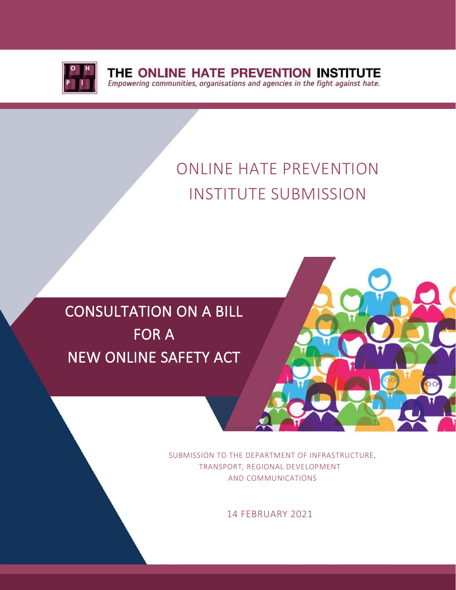

THE ONLINE HATE PREVENTION INSTITUTE Empowering communities, organisations and agencies in the fight against hate.

# ONLINE HATE PREVENTION INSTITUTE SUBMISSION

# CONSULTATION ON A BILL FOR A NEW ONLINE SAFETY ACT



SUBMISSION TO THE DEPARTMENT OF INFRASTRUCTURE, TRANSPORT, REGIONAL DEVELOPMENT AND COMMUNICATIONS

14 FEBRUARY 2021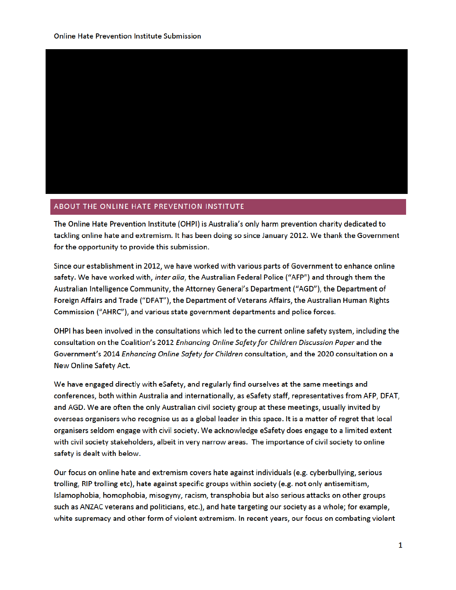

#### ABOUT THE ONLINE HATE PREVENTION INSTITUTE

The Online Hate Prevention Institute (OHPI) is Australia's only harm prevention charity dedicated to tackling online hate and extremism. It has been doing so since January 2012. We thank the Government for the opportunity to provide this submission.

Since our establishment in 2012, we have worked with various parts of Government to enhance online safety. We have worked with, inter alia, the Australian Federal Police ("AFP") and through them the Australian Intelligence Community, the Attorney General's Department ("AGD"), the Department of Foreign Affairs and Trade ("DFAT"), the Department of Veterans Affairs, the Australian Human Rights Commission ("AHRC"), and various state government departments and police forces.

OHPI has been involved in the consultations which led to the current online safety system, including the consultation on the Coalition's 2012 Enhancing Online Safety for Children Discussion Paper and the Government's 2014 Enhancing Online Safety for Children consultation, and the 2020 consultation on a New Online Safety Act.

We have engaged directly with eSafety, and regularly find ourselves at the same meetings and conferences, both within Australia and internationally, as eSafety staff, representatives from AFP, DFAT, and AGD. We are often the only Australian civil society group at these meetings, usually invited by overseas organisers who recognise us as a global leader in this space. It is a matter of regret that local organisers seldom engage with civil society. We acknowledge eSafety does engage to a limited extent with civil society stakeholders, albeit in very narrow areas. The importance of civil society to online safety is dealt with below.

Our focus on online hate and extremism covers hate against individuals (e.g. cyberbullying, serious trolling, RIP trolling etc), hate against specific groups within society (e.g. not only antisemitism, Islamophobia, homophobia, misogyny, racism, transphobia but also serious attacks on other groups such as ANZAC veterans and politicians, etc.), and hate targeting our society as a whole; for example, white supremacy and other form of violent extremism. In recent years, our focus on combating violent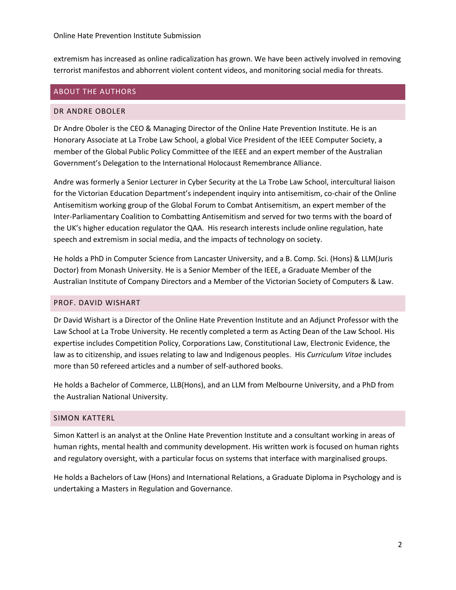extremism has increased as online radicalization has grown. We have been actively involved in removing terrorist manifestos and abhorrent violent content videos, and monitoring social media for threats.

#### ABOUT THE AUTHORS

#### DR ANDRE OBOLER

Dr Andre Oboler is the CEO & Managing Director of the Online Hate Prevention Institute. He is an Honorary Associate at La Trobe Law School, a global Vice President of the IEEE Computer Society, a member of the Global Public Policy Committee of the IEEE and an expert member of the Australian Government's Delegation to the International Holocaust Remembrance Alliance.

Andre was formerly a Senior Lecturer in Cyber Security at the La Trobe Law School, intercultural liaison for the Victorian Education Department's independent inquiry into antisemitism, co-chair of the Online Antisemitism working group of the Global Forum to Combat Antisemitism, an expert member of the Inter-Parliamentary Coalition to Combatting Antisemitism and served for two terms with the board of the UK's higher education regulator the QAA. His research interests include online regulation, hate speech and extremism in social media, and the impacts of technology on society.

He holds a PhD in Computer Science from Lancaster University, and a B. Comp. Sci. (Hons) & LLM(Juris Doctor) from Monash University. He is a Senior Member of the IEEE, a Graduate Member of the Australian Institute of Company Directors and a Member of the Victorian Society of Computers & Law.

## PROF. DAVID WISHART

Dr David Wishart is a Director of the Online Hate Prevention Institute and an Adjunct Professor with the Law School at La Trobe University. He recently completed a term as Acting Dean of the Law School. His expertise includes Competition Policy, Corporations Law, Constitutional Law, Electronic Evidence, the law as to citizenship, and issues relating to law and Indigenous peoples. His *Curriculum Vitae* includes more than 50 refereed articles and a number of self-authored books.

He holds a Bachelor of Commerce, LLB(Hons), and an LLM from Melbourne University, and a PhD from the Australian National University.

## SIMON KATTERL

Simon Katterl is an analyst at the Online Hate Prevention Institute and a consultant working in areas of human rights, mental health and community development. His written work is focused on human rights and regulatory oversight, with a particular focus on systems that interface with marginalised groups.

He holds a Bachelors of Law (Hons) and International Relations, a Graduate Diploma in Psychology and is undertaking a Masters in Regulation and Governance.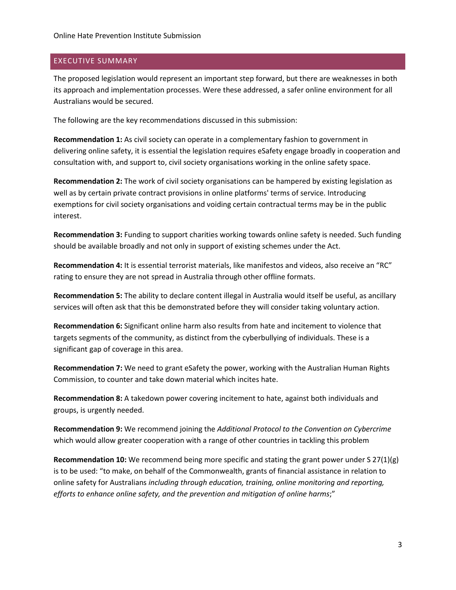## EXECUTIVE SUMMARY

The proposed legislation would represent an important step forward, but there are weaknesses in both its approach and implementation processes. Were these addressed, a safer online environment for all Australians would be secured.

The following are the key recommendations discussed in this submission:

**Recommendation 1:** As civil society can operate in a complementary fashion to government in delivering online safety, it is essential the legislation requires eSafety engage broadly in cooperation and consultation with, and support to, civil society organisations working in the online safety space.

**Recommendation 2:** The work of civil society organisations can be hampered by existing legislation as well as by certain private contract provisions in online platforms' terms of service. Introducing exemptions for civil society organisations and voiding certain contractual terms may be in the public interest.

**Recommendation 3:** Funding to support charities working towards online safety is needed. Such funding should be available broadly and not only in support of existing schemes under the Act.

**Recommendation 4:** It is essential terrorist materials, like manifestos and videos, also receive an "RC" rating to ensure they are not spread in Australia through other offline formats.

**Recommendation 5:** The ability to declare content illegal in Australia would itself be useful, as ancillary services will often ask that this be demonstrated before they will consider taking voluntary action.

**Recommendation 6:** Significant online harm also results from hate and incitement to violence that targets segments of the community, as distinct from the cyberbullying of individuals. These is a significant gap of coverage in this area.

**Recommendation 7:** We need to grant eSafety the power, working with the Australian Human Rights Commission, to counter and take down material which incites hate.

**Recommendation 8:** A takedown power covering incitement to hate, against both individuals and groups, is urgently needed.

**Recommendation 9:** We recommend joining the *Additional Protocol to the Convention on Cybercrime* which would allow greater cooperation with a range of other countries in tackling this problem

**Recommendation 10:** We recommend being more specific and stating the grant power under S 27(1)(g) is to be used: "to make, on behalf of the Commonwealth, grants of financial assistance in relation to online safety for Australians *including through education, training, online monitoring and reporting, efforts to enhance online safety, and the prevention and mitigation of online harms*;"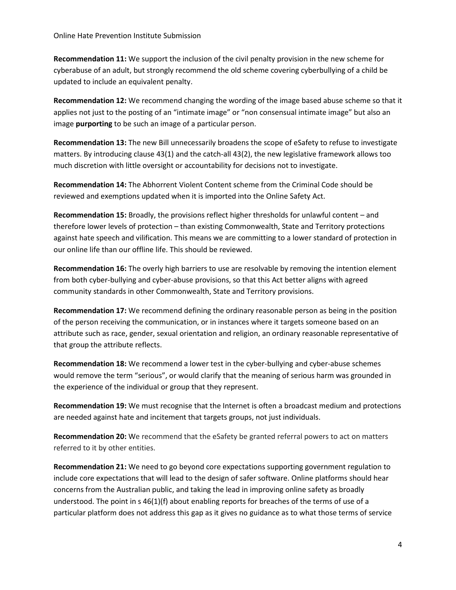**Recommendation 11:** We support the inclusion of the civil penalty provision in the new scheme for cyberabuse of an adult, but strongly recommend the old scheme covering cyberbullying of a child be updated to include an equivalent penalty.

**Recommendation 12:** We recommend changing the wording of the image based abuse scheme so that it applies not just to the posting of an "intimate image" or "non consensual intimate image" but also an image **purporting** to be such an image of a particular person.

**Recommendation 13:** The new Bill unnecessarily broadens the scope of eSafety to refuse to investigate matters. By introducing clause 43(1) and the catch-all 43(2), the new legislative framework allows too much discretion with little oversight or accountability for decisions not to investigate.

**Recommendation 14:** The Abhorrent Violent Content scheme from the Criminal Code should be reviewed and exemptions updated when it is imported into the Online Safety Act.

**Recommendation 15:** Broadly, the provisions reflect higher thresholds for unlawful content – and therefore lower levels of protection – than existing Commonwealth, State and Territory protections against hate speech and vilification. This means we are committing to a lower standard of protection in our online life than our offline life. This should be reviewed.

**Recommendation 16:** The overly high barriers to use are resolvable by removing the intention element from both cyber-bullying and cyber-abuse provisions, so that this Act better aligns with agreed community standards in other Commonwealth, State and Territory provisions.

**Recommendation 17:** We recommend defining the ordinary reasonable person as being in the position of the person receiving the communication, or in instances where it targets someone based on an attribute such as race, gender, sexual orientation and religion, an ordinary reasonable representative of that group the attribute reflects.

**Recommendation 18:** We recommend a lower test in the cyber-bullying and cyber-abuse schemes would remove the term "serious", or would clarify that the meaning of serious harm was grounded in the experience of the individual or group that they represent.

**Recommendation 19:** We must recognise that the Internet is often a broadcast medium and protections are needed against hate and incitement that targets groups, not just individuals.

**Recommendation 20:** We recommend that the eSafety be granted referral powers to act on matters referred to it by other entities.

**Recommendation 21:** We need to go beyond core expectations supporting government regulation to include core expectations that will lead to the design of safer software. Online platforms should hear concerns from the Australian public, and taking the lead in improving online safety as broadly understood. The point in s 46(1)(f) about enabling reports for breaches of the terms of use of a particular platform does not address this gap as it gives no guidance as to what those terms of service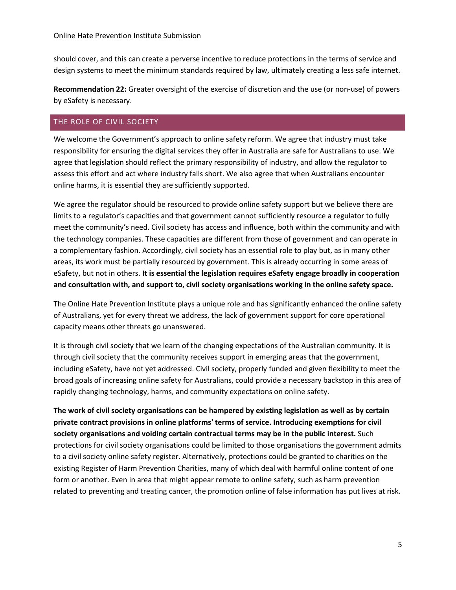should cover, and this can create a perverse incentive to reduce protections in the terms of service and design systems to meet the minimum standards required by law, ultimately creating a less safe internet.

**Recommendation 22:** Greater oversight of the exercise of discretion and the use (or non-use) of powers by eSafety is necessary.

## THE ROLE OF CIVIL SOCIETY

We welcome the Government's approach to online safety reform. We agree that industry must take responsibility for ensuring the digital services they offer in Australia are safe for Australians to use. We agree that legislation should reflect the primary responsibility of industry, and allow the regulator to assess this effort and act where industry falls short. We also agree that when Australians encounter online harms, it is essential they are sufficiently supported.

We agree the regulator should be resourced to provide online safety support but we believe there are limits to a regulator's capacities and that government cannot sufficiently resource a regulator to fully meet the community's need. Civil society has access and influence, both within the community and with the technology companies. These capacities are different from those of government and can operate in a complementary fashion. Accordingly, civil society has an essential role to play but, as in many other areas, its work must be partially resourced by government. This is already occurring in some areas of eSafety, but not in others. **It is essential the legislation requires eSafety engage broadly in cooperation and consultation with, and support to, civil society organisations working in the online safety space.**

The Online Hate Prevention Institute plays a unique role and has significantly enhanced the online safety of Australians, yet for every threat we address, the lack of government support for core operational capacity means other threats go unanswered.

It is through civil society that we learn of the changing expectations of the Australian community. It is through civil society that the community receives support in emerging areas that the government, including eSafety, have not yet addressed. Civil society, properly funded and given flexibility to meet the broad goals of increasing online safety for Australians, could provide a necessary backstop in this area of rapidly changing technology, harms, and community expectations on online safety.

**The work of civil society organisations can be hampered by existing legislation as well as by certain private contract provisions in online platforms' terms of service. Introducing exemptions for civil society organisations and voiding certain contractual terms may be in the public interest.** Such protections for civil society organisations could be limited to those organisations the government admits to a civil society online safety register. Alternatively, protections could be granted to charities on the existing Register of Harm Prevention Charities, many of which deal with harmful online content of one form or another. Even in area that might appear remote to online safety, such as harm prevention related to preventing and treating cancer, the promotion online of false information has put lives at risk.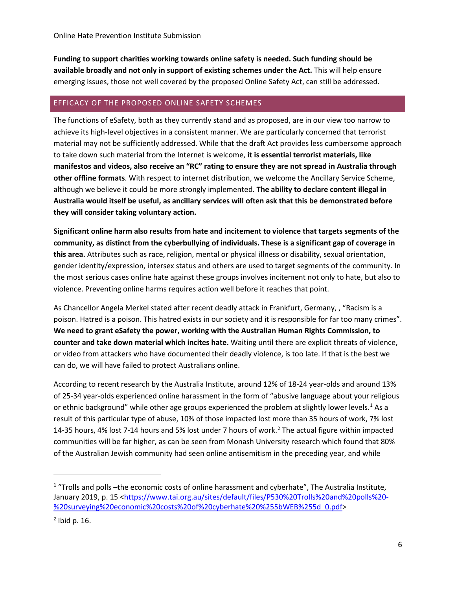**Funding to support charities working towards online safety is needed. Such funding should be available broadly and not only in support of existing schemes under the Act.** This will help ensure emerging issues, those not well covered by the proposed Online Safety Act, can still be addressed.

## EFFICACY OF THE PROPOSED ONLINE SAFETY SCHEMES

The functions of eSafety, both as they currently stand and as proposed, are in our view too narrow to achieve its high-level objectives in a consistent manner. We are particularly concerned that terrorist material may not be sufficiently addressed. While that the draft Act provides less cumbersome approach to take down such material from the Internet is welcome, **it is essential terrorist materials, like manifestos and videos, also receive an "RC" rating to ensure they are not spread in Australia through other offline formats**. With respect to internet distribution, we welcome the Ancillary Service Scheme, although we believe it could be more strongly implemented. **The ability to declare content illegal in Australia would itself be useful, as ancillary services will often ask that this be demonstrated before they will consider taking voluntary action.**

**Significant online harm also results from hate and incitement to violence that targets segments of the community, as distinct from the cyberbullying of individuals. These is a significant gap of coverage in this area.** Attributes such as race, religion, mental or physical illness or disability, sexual orientation, gender identity/expression, intersex status and others are used to target segments of the community. In the most serious cases online hate against these groups involves incitement not only to hate, but also to violence. Preventing online harms requires action well before it reaches that point.

As Chancellor Angela Merkel stated after recent deadly attack in Frankfurt, Germany, , "Racism is a poison. Hatred is a poison. This hatred exists in our society and it is responsible for far too many crimes". **We need to grant eSafety the power, working with the Australian Human Rights Commission, to counter and take down material which incites hate.** Waiting until there are explicit threats of violence, or video from attackers who have documented their deadly violence, is too late. If that is the best we can do, we will have failed to protect Australians online.

According to recent research by the Australia Institute, around 12% of 18-24 year-olds and around 13% of 25-34 year-olds experienced online harassment in the form of "abusive language about your religious or ethnic background" while other age groups experienced the problem at slightly lower levels.<sup>1</sup> As a result of this particular type of abuse, 10% of those impacted lost more than 35 hours of work, 7% lost 14-35 hours, 4% lost 7-14 hours and 5% lost under 7 hours of work.<sup>2</sup> The actual figure within impacted communities will be far higher, as can be seen from Monash University research which found that 80% of the Australian Jewish community had seen online antisemitism in the preceding year, and while

 $\overline{a}$ 

 $1$  "Trolls and polls -the economic costs of online harassment and cyberhate", The Australia Institute, January 2019, p. 15 <https://www.tai.org.au/sites/default/files/P530%20Trolls%20and%20polls%20- %20surveying%20economic%20costs%20of%20cyberhate%20%255bWEB%255d 0.pdf>

 $<sup>2</sup>$  Ibid p. 16.</sup>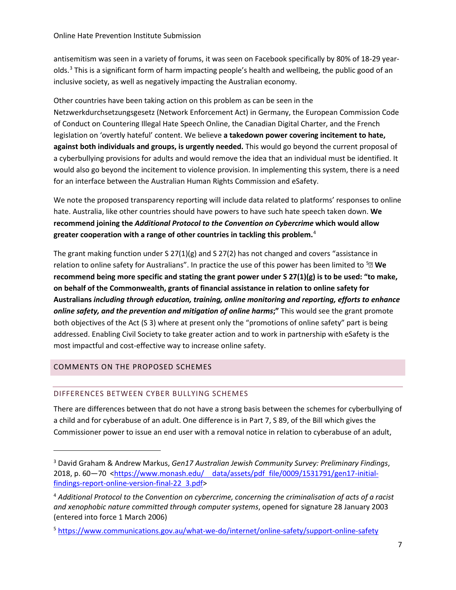antisemitism was seen in a variety of forums, it was seen on Facebook specifically by 80% of 18-29 yearolds. $3$  This is a significant form of harm impacting people's health and wellbeing, the public good of an inclusive society, as well as negatively impacting the Australian economy.

Other countries have been taking action on this problem as can be seen in the Netzwerkdurchsetzungsgesetz (Network Enforcement Act) in Germany, the European Commission Code of Conduct on Countering Illegal Hate Speech Online, the Canadian Digital Charter, and the French legislation on 'overtly hateful' content. We believe **a takedown power covering incitement to hate, against both individuals and groups, is urgently needed.** This would go beyond the current proposal of a cyberbullying provisions for adults and would remove the idea that an individual must be identified. It would also go beyond the incitement to violence provision. In implementing this system, there is a need for an interface between the Australian Human Rights Commission and eSafety.

We note the proposed transparency reporting will include data related to platforms' responses to online hate. Australia, like other countries should have powers to have such hate speech taken down. **We recommend joining the** *Additional Protocol to the Convention on Cybercrime* **which would allow greater cooperation with a range of other countries in tackling this problem.**<sup>4</sup>

The grant making function under S  $27(1)(g)$  and S  $27(2)$  has not changed and covers "assistance in relation to online safety for Australians". In practice the use of this power has been limited to 5 **We recommend being more specific and stating the grant power under S 27(1)(g) is to be used: "to make, on behalf of the Commonwealth, grants of financial assistance in relation to online safety for Australians** *including through education, training, online monitoring and reporting, efforts to enhance online safety, and the prevention and mitigation of online harms***;"** This would see the grant promote both objectives of the Act (S 3) where at present only the "promotions of online safety" part is being addressed. Enabling Civil Society to take greater action and to work in partnership with eSafety is the most impactful and cost-effective way to increase online safety.

# COMMENTS ON THE PROPOSED SCHEMES

l

## DIFFERENCES BETWEEN CYBER BULLYING SCHEMES

There are differences between that do not have a strong basis between the schemes for cyberbullying of a child and for cyberabuse of an adult. One difference is in Part 7, S 89, of the Bill which gives the Commissioner power to issue an end user with a removal notice in relation to cyberabuse of an adult,

<sup>3</sup> David Graham & Andrew Markus, *Gen17 Australian Jewish Community Survey: Preliminary Findings*, 2018, p. 60—70 <https://www.monash.edu/ data/assets/pdf file/0009/1531791/gen17-initialfindings-report-online-version-final-22 3.pdf>

<sup>4</sup> *Additional Protocol to the Convention on cybercrime, concerning the criminalisation of acts of a racist and xenophobic nature committed through computer systems*, opened for signature 28 January 2003 (entered into force 1 March 2006)

<sup>5</sup> https://www.communications.gov.au/what-we-do/internet/online-safety/support-online-safety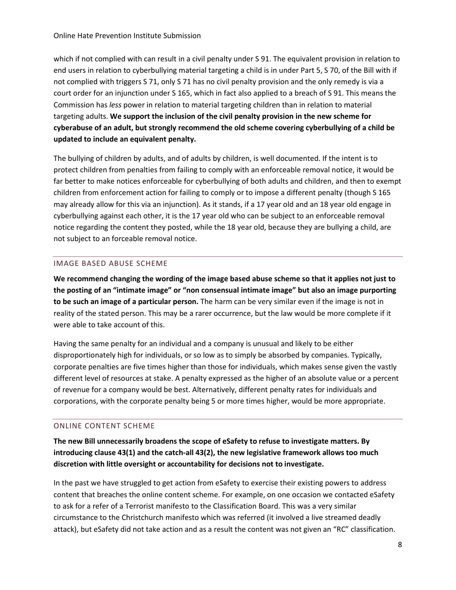which if not complied with can result in a civil penalty under S 91. The equivalent provision in relation to end users in relation to cyberbullying material targeting a child is in under Part 5, S 70, of the Bill with if not complied with triggers S 71, only S 71 has no civil penalty provision and the only remedy is via a court order for an injunction under S 165, which in fact also applied to a breach of S 91. This means the Commission has *less* power in relation to material targeting children than in relation to material targeting adults. **We support the inclusion of the civil penalty provision in the new scheme for cyberabuse of an adult, but strongly recommend the old scheme covering cyberbullying of a child be updated to include an equivalent penalty.**

The bullying of children by adults, and of adults by children, is well documented. If the intent is to protect children from penalties from failing to comply with an enforceable removal notice, it would be far better to make notices enforceable for cyberbullying of both adults and children, and then to exempt children from enforcement action for failing to comply or to impose a different penalty (though S 165 may already allow for this via an injunction). As it stands, if a 17 year old and an 18 year old engage in cyberbullying against each other, it is the 17 year old who can be subject to an enforceable removal notice regarding the content they posted, while the 18 year old, because they are bullying a child, are not subject to an forceable removal notice.

## IMAGE BASED ABUSE SCHEME

**We recommend changing the wording of the image based abuse scheme so that it applies not just to the posting of an "intimate image" or "non consensual intimate image" but also an image purporting to be such an image of a particular person.** The harm can be very similar even if the image is not in reality of the stated person. This may be a rarer occurrence, but the law would be more complete if it were able to take account of this.

Having the same penalty for an individual and a company is unusual and likely to be either disproportionately high for individuals, or so low as to simply be absorbed by companies. Typically, corporate penalties are five times higher than those for individuals, which makes sense given the vastly different level of resources at stake. A penalty expressed as the higher of an absolute value or a percent of revenue for a company would be best. Alternatively, different penalty rates for individuals and corporations, with the corporate penalty being 5 or more times higher, would be more appropriate.

## ONLINE CONTENT SCHEME

**The new Bill unnecessarily broadens the scope of eSafety to refuse to investigate matters. By introducing clause 43(1) and the catch-all 43(2), the new legislative framework allows too much discretion with little oversight or accountability for decisions not to investigate.**

In the past we have struggled to get action from eSafety to exercise their existing powers to address content that breaches the online content scheme. For example, on one occasion we contacted eSafety to ask for a refer of a Terrorist manifesto to the Classification Board. This was a very similar circumstance to the Christchurch manifesto which was referred (it involved a live streamed deadly attack), but eSafety did not take action and as a result the content was not given an "RC" classification.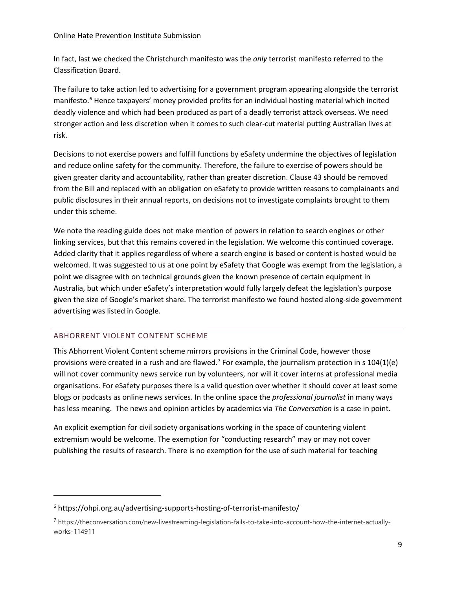#### Online Hate Prevention Institute Submission

In fact, last we checked the Christchurch manifesto was the *only* terrorist manifesto referred to the Classification Board.

The failure to take action led to advertising for a government program appearing alongside the terrorist manifesto.<sup>6</sup> Hence taxpayers' money provided profits for an individual hosting material which incited deadly violence and which had been produced as part of a deadly terrorist attack overseas. We need stronger action and less discretion when it comes to such clear-cut material putting Australian lives at risk.

Decisions to not exercise powers and fulfill functions by eSafety undermine the objectives of legislation and reduce online safety for the community. Therefore, the failure to exercise of powers should be given greater clarity and accountability, rather than greater discretion. Clause 43 should be removed from the Bill and replaced with an obligation on eSafety to provide written reasons to complainants and public disclosures in their annual reports, on decisions not to investigate complaints brought to them under this scheme.

We note the reading guide does not make mention of powers in relation to search engines or other linking services, but that this remains covered in the legislation. We welcome this continued coverage. Added clarity that it applies regardless of where a search engine is based or content is hosted would be welcomed. It was suggested to us at one point by eSafety that Google was exempt from the legislation, a point we disagree with on technical grounds given the known presence of certain equipment in Australia, but which under eSafety's interpretation would fully largely defeat the legislation's purpose given the size of Google's market share. The terrorist manifesto we found hosted along-side government advertising was listed in Google.

## ABHORRENT VIOLENT CONTENT SCHEME

l

This Abhorrent Violent Content scheme mirrors provisions in the Criminal Code, however those provisions were created in a rush and are flawed.<sup>7</sup> For example, the journalism protection in s  $104(1)(e)$ will not cover community news service run by volunteers, nor will it cover interns at professional media organisations. For eSafety purposes there is a valid question over whether it should cover at least some blogs or podcasts as online news services. In the online space the *professional journalist* in many ways has less meaning. The news and opinion articles by academics via *The Conversation* is a case in point.

An explicit exemption for civil society organisations working in the space of countering violent extremism would be welcome. The exemption for "conducting research" may or may not cover publishing the results of research. There is no exemption for the use of such material for teaching

<sup>6</sup> https://ohpi.org.au/advertising-supports-hosting-of-terrorist-manifesto/

<sup>7</sup> https://theconversation.com/new-livestreaming-legislation-fails-to-take-into-account-how-the-internet-actuallyworks-114911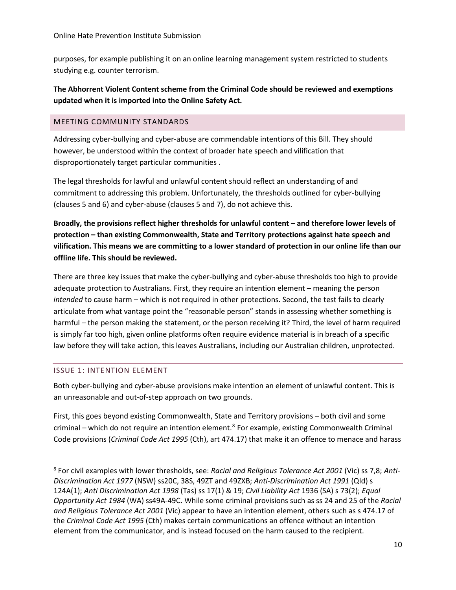purposes, for example publishing it on an online learning management system restricted to students studying e.g. counter terrorism.

# **The Abhorrent Violent Content scheme from the Criminal Code should be reviewed and exemptions updated when it is imported into the Online Safety Act.**

## MEETING COMMUNITY STANDARDS

Addressing cyber-bullying and cyber-abuse are commendable intentions of this Bill. They should however, be understood within the context of broader hate speech and vilification that disproportionately target particular communities .

The legal thresholds for lawful and unlawful content should reflect an understanding of and commitment to addressing this problem. Unfortunately, the thresholds outlined for cyber-bullying (clauses 5 and 6) and cyber-abuse (clauses 5 and 7), do not achieve this.

**Broadly, the provisions reflect higher thresholds for unlawful content – and therefore lower levels of protection – than existing Commonwealth, State and Territory protections against hate speech and vilification. This means we are committing to a lower standard of protection in our online life than our offline life. This should be reviewed.**

There are three key issues that make the cyber-bullying and cyber-abuse thresholds too high to provide adequate protection to Australians. First, they require an intention element – meaning the person *intended* to cause harm – which is not required in other protections. Second, the test fails to clearly articulate from what vantage point the "reasonable person" stands in assessing whether something is harmful – the person making the statement, or the person receiving it? Third, the level of harm required is simply far too high, given online platforms often require evidence material is in breach of a specific law before they will take action, this leaves Australians, including our Australian children, unprotected.

## ISSUE 1: INTENTION ELEMENT

 $\overline{\phantom{a}}$ 

Both cyber-bullying and cyber-abuse provisions make intention an element of unlawful content. This is an unreasonable and out-of-step approach on two grounds.

First, this goes beyond existing Commonwealth, State and Territory provisions – both civil and some criminal – which do not require an intention element.<sup>8</sup> For example, existing Commonwealth Criminal Code provisions (*Criminal Code Act 1995* (Cth), art 474.17) that make it an offence to menace and harass

<sup>8</sup> For civil examples with lower thresholds, see: *Racial and Religious Tolerance Act 2001* (Vic) ss 7,8; *Anti-Discrimination Act 1977* (NSW) ss20C, 38S, 49ZT and 49ZXB; *Anti-Discrimination Act 1991* (Qld) s 124A(1); *Anti Discrimination Act 1998* (Tas) ss 17(1) & 19; *Civil Liability Act* 1936 (SA) s 73(2); *Equal Opportunity Act 1984* (WA) ss49A-49C. While some criminal provisions such as ss 24 and 25 of the *Racial and Religious Tolerance Act 2001* (Vic) appear to have an intention element, others such as s 474.17 of the *Criminal Code Act 1995* (Cth) makes certain communications an offence without an intention element from the communicator, and is instead focused on the harm caused to the recipient.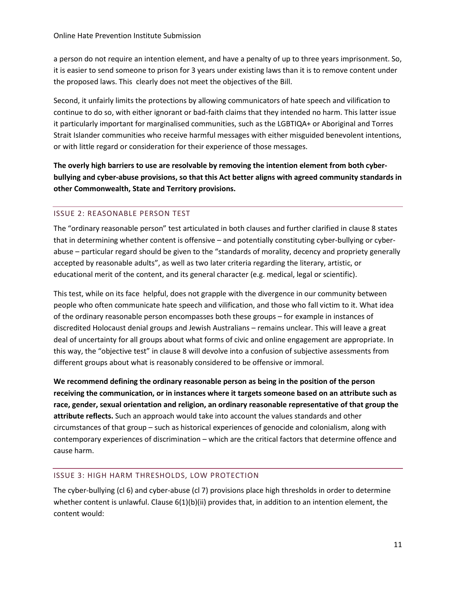a person do not require an intention element, and have a penalty of up to three years imprisonment. So, it is easier to send someone to prison for 3 years under existing laws than it is to remove content under the proposed laws. This clearly does not meet the objectives of the Bill.

Second, it unfairly limits the protections by allowing communicators of hate speech and vilification to continue to do so, with either ignorant or bad-faith claims that they intended no harm. This latter issue it particularly important for marginalised communities, such as the LGBTIQA+ or Aboriginal and Torres Strait Islander communities who receive harmful messages with either misguided benevolent intentions, or with little regard or consideration for their experience of those messages.

**The overly high barriers to use are resolvable by removing the intention element from both cyberbullying and cyber-abuse provisions, so that this Act better aligns with agreed community standards in other Commonwealth, State and Territory provisions.**

## ISSUE 2: REASONABLE PERSON TEST

The "ordinary reasonable person" test articulated in both clauses and further clarified in clause 8 states that in determining whether content is offensive – and potentially constituting cyber-bullying or cyberabuse – particular regard should be given to the "standards of morality, decency and propriety generally accepted by reasonable adults", as well as two later criteria regarding the literary, artistic, or educational merit of the content, and its general character (e.g. medical, legal or scientific).

This test, while on its face helpful, does not grapple with the divergence in our community between people who often communicate hate speech and vilification, and those who fall victim to it. What idea of the ordinary reasonable person encompasses both these groups – for example in instances of discredited Holocaust denial groups and Jewish Australians – remains unclear. This will leave a great deal of uncertainty for all groups about what forms of civic and online engagement are appropriate. In this way, the "objective test" in clause 8 will devolve into a confusion of subjective assessments from different groups about what is reasonably considered to be offensive or immoral.

**We recommend defining the ordinary reasonable person as being in the position of the person receiving the communication, or in instances where it targets someone based on an attribute such as race, gender, sexual orientation and religion, an ordinary reasonable representative of that group the attribute reflects.** Such an approach would take into account the values standards and other circumstances of that group – such as historical experiences of genocide and colonialism, along with contemporary experiences of discrimination – which are the critical factors that determine offence and cause harm.

## ISSUE 3: HIGH HARM THRESHOLDS, LOW PROTECTION

The cyber-bullying (cl 6) and cyber-abuse (cl 7) provisions place high thresholds in order to determine whether content is unlawful. Clause 6(1)(b)(ii) provides that, in addition to an intention element, the content would: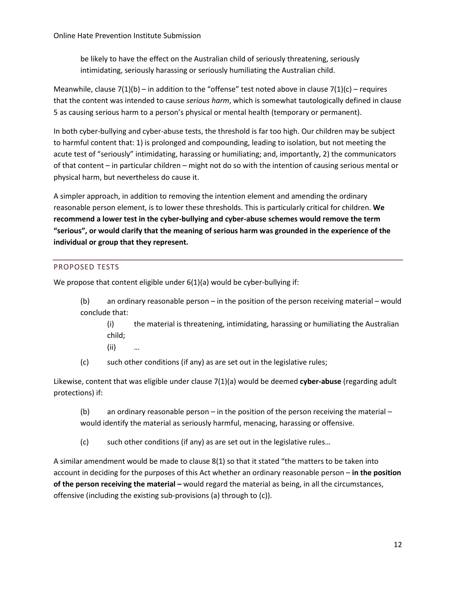be likely to have the effect on the Australian child of seriously threatening, seriously intimidating, seriously harassing or seriously humiliating the Australian child.

Meanwhile, clause  $7(1)(b)$  – in addition to the "offense" test noted above in clause  $7(1)(c)$  – requires that the content was intended to cause *serious harm*, which is somewhat tautologically defined in clause 5 as causing serious harm to a person's physical or mental health (temporary or permanent).

In both cyber-bullying and cyber-abuse tests, the threshold is far too high. Our children may be subject to harmful content that: 1) is prolonged and compounding, leading to isolation, but not meeting the acute test of "seriously" intimidating, harassing or humiliating; and, importantly, 2) the communicators of that content – in particular children – might not do so with the intention of causing serious mental or physical harm, but nevertheless do cause it.

A simpler approach, in addition to removing the intention element and amending the ordinary reasonable person element, is to lower these thresholds. This is particularly critical for children. **We recommend a lower test in the cyber-bullying and cyber-abuse schemes would remove the term "serious", or would clarify that the meaning of serious harm was grounded in the experience of the individual or group that they represent.**

## PROPOSED TESTS

We propose that content eligible under 6(1)(a) would be cyber-bullying if:

(b) an ordinary reasonable person – in the position of the person receiving material – would conclude that:

(i) the material is threatening, intimidating, harassing or humiliating the Australian child;

- (ii) …
- (c) such other conditions (if any) as are set out in the legislative rules;

Likewise, content that was eligible under clause 7(1)(a) would be deemed **cyber-abuse** (regarding adult protections) if:

(b) an ordinary reasonable person – in the position of the person receiving the material – would identify the material as seriously harmful, menacing, harassing or offensive.

(c) such other conditions (if any) as are set out in the legislative rules…

A similar amendment would be made to clause 8(1) so that it stated "the matters to be taken into account in deciding for the purposes of this Act whether an ordinary reasonable person – **in the position of the person receiving the material –** would regard the material as being, in all the circumstances, offensive (including the existing sub-provisions (a) through to (c)).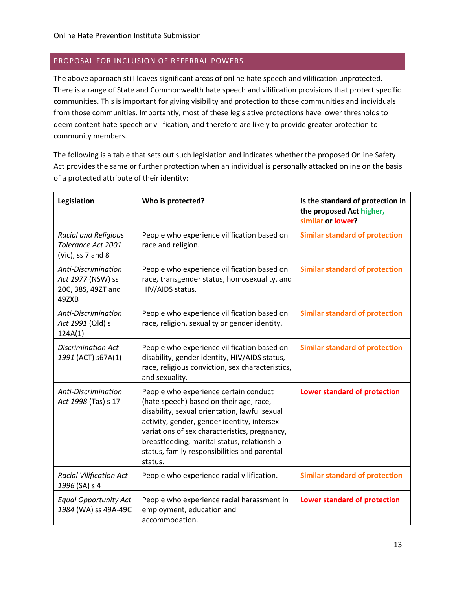## PROPOSAL FOR INCLUSION OF REFERRAL POWERS

The above approach still leaves significant areas of online hate speech and vilification unprotected. There is a range of State and Commonwealth hate speech and vilification provisions that protect specific communities. This is important for giving visibility and protection to those communities and individuals from those communities. Importantly, most of these legislative protections have lower thresholds to deem content hate speech or vilification, and therefore are likely to provide greater protection to community members.

The following is a table that sets out such legislation and indicates whether the proposed Online Safety Act provides the same or further protection when an individual is personally attacked online on the basis of a protected attribute of their identity:

| Legislation                                                             | Who is protected?                                                                                                                                                                                                                                                                                                                           | Is the standard of protection in<br>the proposed Act higher,<br>similar or lower? |
|-------------------------------------------------------------------------|---------------------------------------------------------------------------------------------------------------------------------------------------------------------------------------------------------------------------------------------------------------------------------------------------------------------------------------------|-----------------------------------------------------------------------------------|
| <b>Racial and Religious</b><br>Tolerance Act 2001<br>(Vic), ss 7 and 8  | People who experience vilification based on<br>race and religion.                                                                                                                                                                                                                                                                           | <b>Similar standard of protection</b>                                             |
| Anti-Discrimination<br>Act 1977 (NSW) ss<br>20C, 38S, 49ZT and<br>49ZXB | People who experience vilification based on<br>race, transgender status, homosexuality, and<br>HIV/AIDS status.                                                                                                                                                                                                                             | <b>Similar standard of protection</b>                                             |
| Anti-Discrimination<br>Act 1991 (Qld) s<br>124A(1)                      | People who experience vilification based on<br>race, religion, sexuality or gender identity.                                                                                                                                                                                                                                                | <b>Similar standard of protection</b>                                             |
| <b>Discrimination Act</b><br>1991 (ACT) s67A(1)                         | People who experience vilification based on<br>disability, gender identity, HIV/AIDS status,<br>race, religious conviction, sex characteristics,<br>and sexuality.                                                                                                                                                                          | <b>Similar standard of protection</b>                                             |
| Anti-Discrimination<br>Act 1998 (Tas) s 17                              | People who experience certain conduct<br>(hate speech) based on their age, race,<br>disability, sexual orientation, lawful sexual<br>activity, gender, gender identity, intersex<br>variations of sex characteristics, pregnancy,<br>breastfeeding, marital status, relationship<br>status, family responsibilities and parental<br>status. | Lower standard of protection                                                      |
| <b>Racial Vilification Act</b><br>1996 (SA) s 4                         | People who experience racial vilification.                                                                                                                                                                                                                                                                                                  | <b>Similar standard of protection</b>                                             |
| <b>Equal Opportunity Act</b><br>1984 (WA) ss 49A-49C                    | People who experience racial harassment in<br>employment, education and<br>accommodation.                                                                                                                                                                                                                                                   | Lower standard of protection                                                      |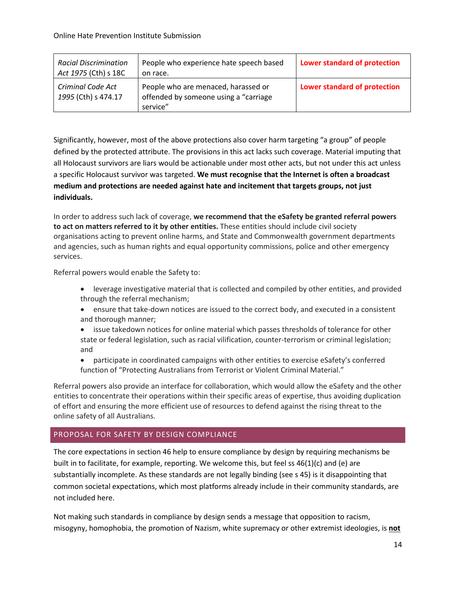| <b>Racial Discrimination</b><br>Act 1975 (Cth) s 18C | People who experience hate speech based<br>on race.                                       | Lower standard of protection |
|------------------------------------------------------|-------------------------------------------------------------------------------------------|------------------------------|
| Criminal Code Act<br>1995 (Cth) s 474.17             | People who are menaced, harassed or<br>offended by someone using a "carriage"<br>service" | Lower standard of protection |

Significantly, however, most of the above protections also cover harm targeting "a group" of people defined by the protected attribute. The provisions in this act lacks such coverage. Material imputing that all Holocaust survivors are liars would be actionable under most other acts, but not under this act unless a specific Holocaust survivor was targeted. **We must recognise that the Internet is often a broadcast medium and protections are needed against hate and incitement that targets groups, not just individuals.** 

In order to address such lack of coverage, **we recommend that the eSafety be granted referral powers to act on matters referred to it by other entities.** These entities should include civil society organisations acting to prevent online harms, and State and Commonwealth government departments and agencies, such as human rights and equal opportunity commissions, police and other emergency services.

Referral powers would enable the Safety to:

- leverage investigative material that is collected and compiled by other entities, and provided through the referral mechanism;
- ensure that take-down notices are issued to the correct body, and executed in a consistent and thorough manner;
- issue takedown notices for online material which passes thresholds of tolerance for other state or federal legislation, such as racial vilification, counter-terrorism or criminal legislation; and
- participate in coordinated campaigns with other entities to exercise eSafety's conferred function of "Protecting Australians from Terrorist or Violent Criminal Material."

Referral powers also provide an interface for collaboration, which would allow the eSafety and the other entities to concentrate their operations within their specific areas of expertise, thus avoiding duplication of effort and ensuring the more efficient use of resources to defend against the rising threat to the online safety of all Australians.

## PROPOSAL FOR SAFETY BY DESIGN COMPLIANCE

The core expectations in section 46 help to ensure compliance by design by requiring mechanisms be built in to facilitate, for example, reporting. We welcome this, but feel ss 46(1)(c) and (e) are substantially incomplete. As these standards are not legally binding (see s 45) is it disappointing that common societal expectations, which most platforms already include in their community standards, are not included here.

Not making such standards in compliance by design sends a message that opposition to racism, misogyny, homophobia, the promotion of Nazism, white supremacy or other extremist ideologies, is **not**